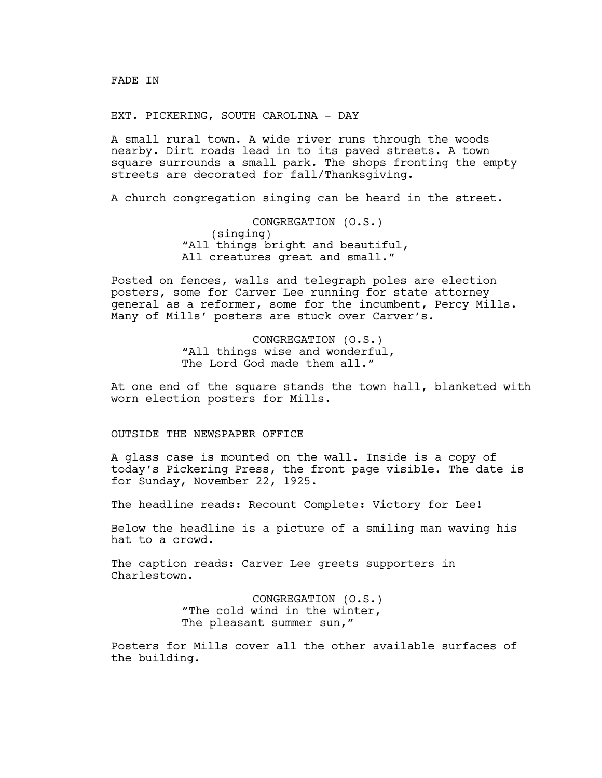FADE IN

EXT. PICKERING, SOUTH CAROLINA - DAY

A small rural town. A wide river runs through the woods nearby. Dirt roads lead in to its paved streets. A town square surrounds a small park. The shops fronting the empty streets are decorated for fall/Thanksgiving.

A church congregation singing can be heard in the street.

CONGREGATION (O.S.) (singing) "All things bright and beautiful, All creatures great and small."

Posted on fences, walls and telegraph poles are election posters, some for Carver Lee running for state attorney general as a reformer, some for the incumbent, Percy Mills. Many of Mills' posters are stuck over Carver's.

> CONGREGATION (O.S.) "All things wise and wonderful, The Lord God made them all."

At one end of the square stands the town hall, blanketed with worn election posters for Mills.

# OUTSIDE THE NEWSPAPER OFFICE

A glass case is mounted on the wall. Inside is a copy of today's Pickering Press, the front page visible. The date is for Sunday, November 22, 1925.

The headline reads: Recount Complete: Victory for Lee!

Below the headline is a picture of a smiling man waving his hat to a crowd.

The caption reads: Carver Lee greets supporters in Charlestown.

> CONGREGATION (O.S.) "The cold wind in the winter, The pleasant summer sun,"

Posters for Mills cover all the other available surfaces of the building.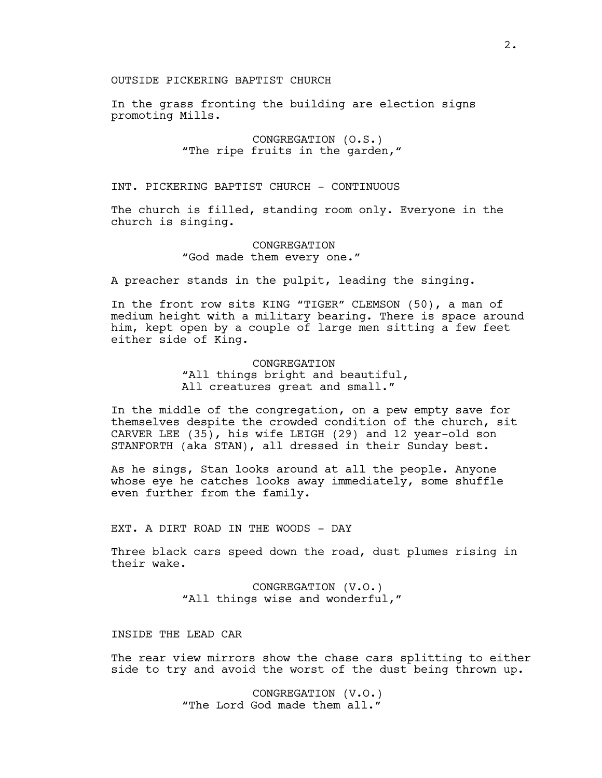## OUTSIDE PICKERING BAPTIST CHURCH

In the grass fronting the building are election signs promoting Mills.

> CONGREGATION (O.S.) "The ripe fruits in the garden,"

INT. PICKERING BAPTIST CHURCH - CONTINUOUS

The church is filled, standing room only. Everyone in the church is singing.

> CONGREGATION "God made them every one."

A preacher stands in the pulpit, leading the singing.

In the front row sits KING "TIGER" CLEMSON (50), a man of medium height with a military bearing. There is space around him, kept open by a couple of large men sitting a few feet either side of King.

> CONGREGATION "All things bright and beautiful, All creatures great and small."

In the middle of the congregation, on a pew empty save for themselves despite the crowded condition of the church, sit CARVER LEE (35), his wife LEIGH (29) and 12 year-old son STANFORTH (aka STAN), all dressed in their Sunday best.

As he sings, Stan looks around at all the people. Anyone whose eye he catches looks away immediately, some shuffle even further from the family.

EXT. A DIRT ROAD IN THE WOODS - DAY

Three black cars speed down the road, dust plumes rising in their wake.

> CONGREGATION (V.O.) "All things wise and wonderful,"

## INSIDE THE LEAD CAR

The rear view mirrors show the chase cars splitting to either side to try and avoid the worst of the dust being thrown up.

> CONGREGATION (V.O.) "The Lord God made them all."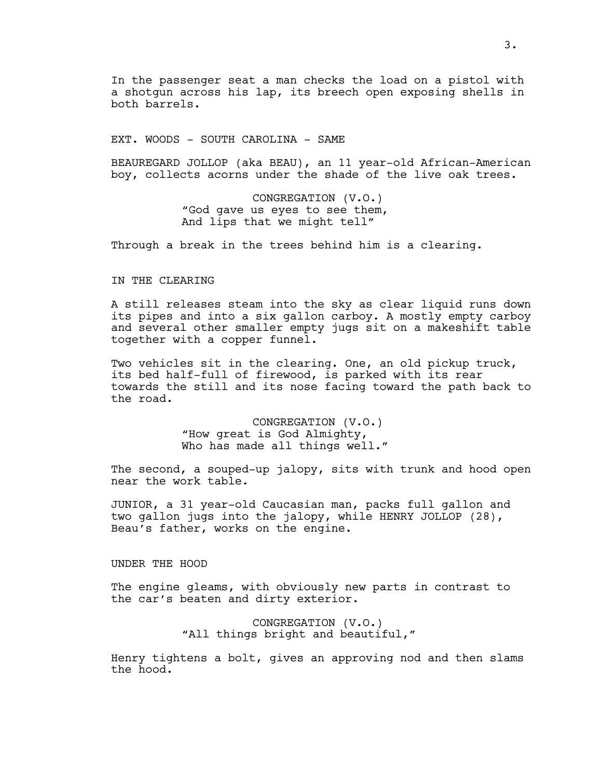In the passenger seat a man checks the load on a pistol with a shotgun across his lap, its breech open exposing shells in both barrels.

EXT. WOODS - SOUTH CAROLINA - SAME

BEAUREGARD JOLLOP (aka BEAU), an 11 year-old African-American boy, collects acorns under the shade of the live oak trees.

> CONGREGATION (V.O.) "God gave us eyes to see them, And lips that we might tell"

Through a break in the trees behind him is a clearing.

### IN THE CLEARING

A still releases steam into the sky as clear liquid runs down its pipes and into a six gallon carboy. A mostly empty carboy and several other smaller empty jugs sit on a makeshift table together with a copper funnel.

Two vehicles sit in the clearing. One, an old pickup truck, its bed half-full of firewood, is parked with its rear towards the still and its nose facing toward the path back to the road.

> CONGREGATION (V.O.) "How great is God Almighty, Who has made all things well."

The second, a souped-up jalopy, sits with trunk and hood open near the work table.

JUNIOR, a 31 year-old Caucasian man, packs full gallon and two gallon jugs into the jalopy, while HENRY JOLLOP (28), Beau's father, works on the engine.

UNDER THE HOOD

The engine gleams, with obviously new parts in contrast to the car's beaten and dirty exterior.

> CONGREGATION (V.O.) "All things bright and beautiful,"

Henry tightens a bolt, gives an approving nod and then slams the hood.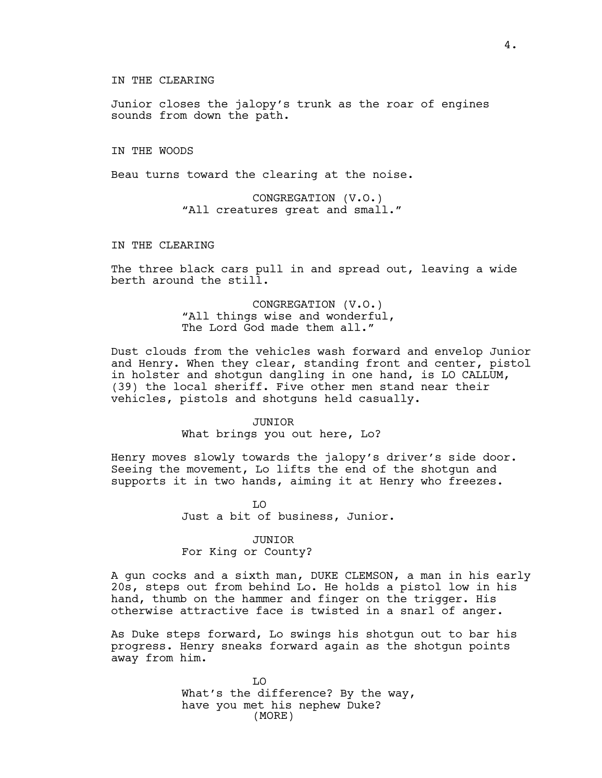### IN THE CLEARING

Junior closes the jalopy's trunk as the roar of engines sounds from down the path.

IN THE WOODS

Beau turns toward the clearing at the noise.

CONGREGATION (V.O.) "All creatures great and small."

## IN THE CLEARING

The three black cars pull in and spread out, leaving a wide berth around the still.

> CONGREGATION (V.O.) "All things wise and wonderful, The Lord God made them all."

Dust clouds from the vehicles wash forward and envelop Junior and Henry. When they clear, standing front and center, pistol in holster and shotgun dangling in one hand, is LO CALLUM, (39) the local sheriff. Five other men stand near their vehicles, pistols and shotguns held casually.

## JUNIOR What brings you out here, Lo?

Henry moves slowly towards the jalopy's driver's side door. Seeing the movement, Lo lifts the end of the shotgun and supports it in two hands, aiming it at Henry who freezes.

> LO Just a bit of business, Junior.

## JUNIOR

# For King or County?

A gun cocks and a sixth man, DUKE CLEMSON, a man in his early 20s, steps out from behind Lo. He holds a pistol low in his hand, thumb on the hammer and finger on the trigger. His otherwise attractive face is twisted in a snarl of anger.

As Duke steps forward, Lo swings his shotgun out to bar his progress. Henry sneaks forward again as the shotgun points away from him.

> LO What's the difference? By the way, have you met his nephew Duke? (MORE)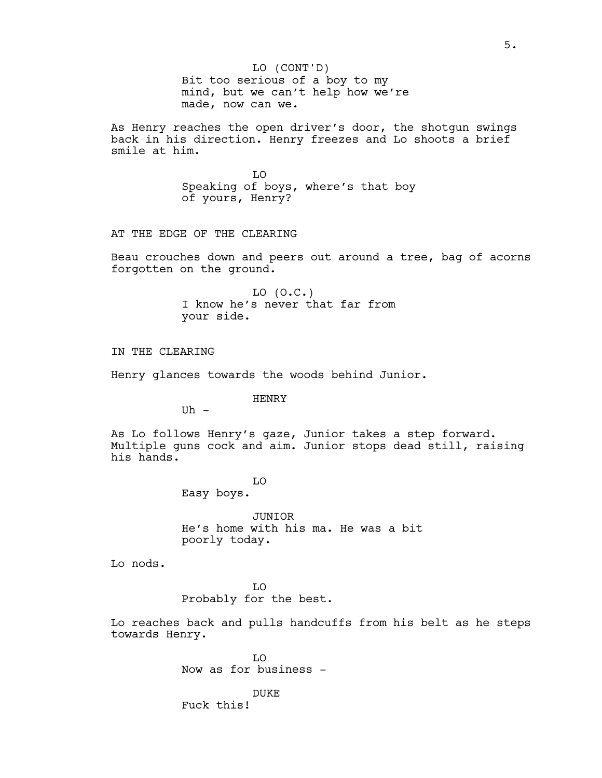Bit too serious of a boy to my mind, but we can't help how we're made, now can we. LO (CONT'D)

As Henry reaches the open driver's door, the shotgun swings back in his direction. Henry freezes and Lo shoots a brief smile at him.

> LO Speaking of boys, where's that boy of yours, Henry?

AT THE EDGE OF THE CLEARING

Beau crouches down and peers out around a tree, bag of acorns forgotten on the ground.

> $LO (O.C.)$ I know he's never that far from your side.

IN THE CLEARING

Henry glances towards the woods behind Junior.

HENRY

 $U<sub>h</sub>$  -

As Lo follows Henry's gaze, Junior takes a step forward. Multiple guns cock and aim. Junior stops dead still, raising his hands.

> LO Easy boys.

JUNIOR He's home with his ma. He was a bit poorly today.

Lo nods.

LO Probably for the best.

Lo reaches back and pulls handcuffs from his belt as he steps towards Henry.

> LO Now as for business -

DUKE Fuck this!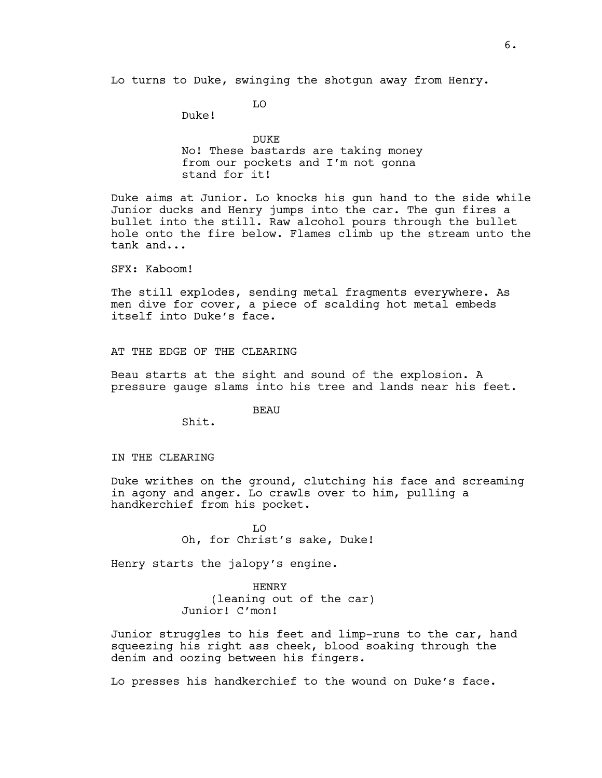Lo turns to Duke, swinging the shotgun away from Henry.

LO

Duke!

DUKE No! These bastards are taking money from our pockets and I'm not gonna stand for it!

Duke aims at Junior. Lo knocks his gun hand to the side while Junior ducks and Henry jumps into the car. The gun fires a bullet into the still. Raw alcohol pours through the bullet hole onto the fire below. Flames climb up the stream unto the tank and...

SFX: Kaboom!

The still explodes, sending metal fragments everywhere. As men dive for cover, a piece of scalding hot metal embeds itself into Duke's face.

AT THE EDGE OF THE CLEARING

Beau starts at the sight and sound of the explosion. A pressure gauge slams into his tree and lands near his feet.

BEAU

Shit.

#### IN THE CLEARING

Duke writhes on the ground, clutching his face and screaming in agony and anger. Lo crawls over to him, pulling a handkerchief from his pocket.

> $T<sub>n</sub>$ Oh, for Christ's sake, Duke!

Henry starts the jalopy's engine.

HENRY (leaning out of the car) Junior! C'mon!

Junior struggles to his feet and limp-runs to the car, hand squeezing his right ass cheek, blood soaking through the denim and oozing between his fingers.

Lo presses his handkerchief to the wound on Duke's face.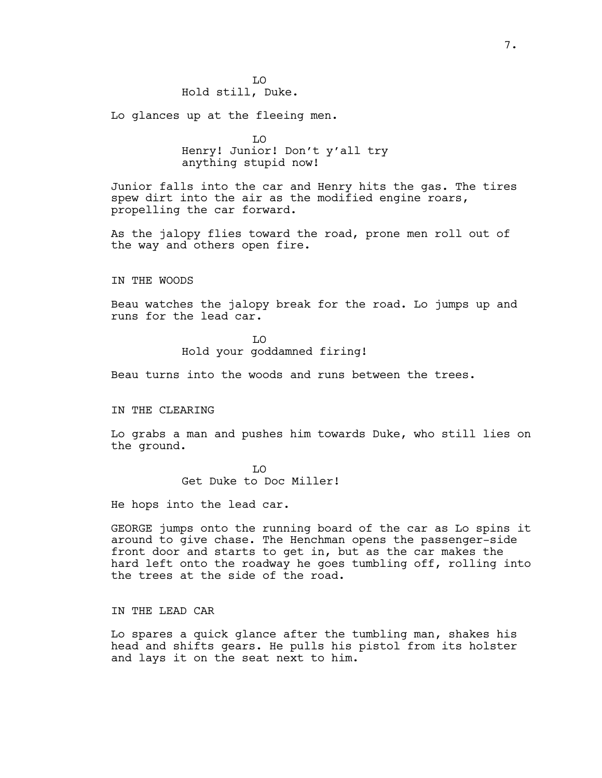Lo glances up at the fleeing men.

LO Henry! Junior! Don't y'all try anything stupid now!

Junior falls into the car and Henry hits the gas. The tires spew dirt into the air as the modified engine roars, propelling the car forward.

As the jalopy flies toward the road, prone men roll out of the way and others open fire.

IN THE WOODS

Beau watches the jalopy break for the road. Lo jumps up and runs for the lead car.

> LO Hold your goddamned firing!

Beau turns into the woods and runs between the trees.

IN THE CLEARING

Lo grabs a man and pushes him towards Duke, who still lies on the ground.

> LO Get Duke to Doc Miller!

He hops into the lead car.

GEORGE jumps onto the running board of the car as Lo spins it around to give chase. The Henchman opens the passenger-side front door and starts to get in, but as the car makes the hard left onto the roadway he goes tumbling off, rolling into the trees at the side of the road.

IN THE LEAD CAR

Lo spares a quick glance after the tumbling man, shakes his head and shifts gears. He pulls his pistol from its holster and lays it on the seat next to him.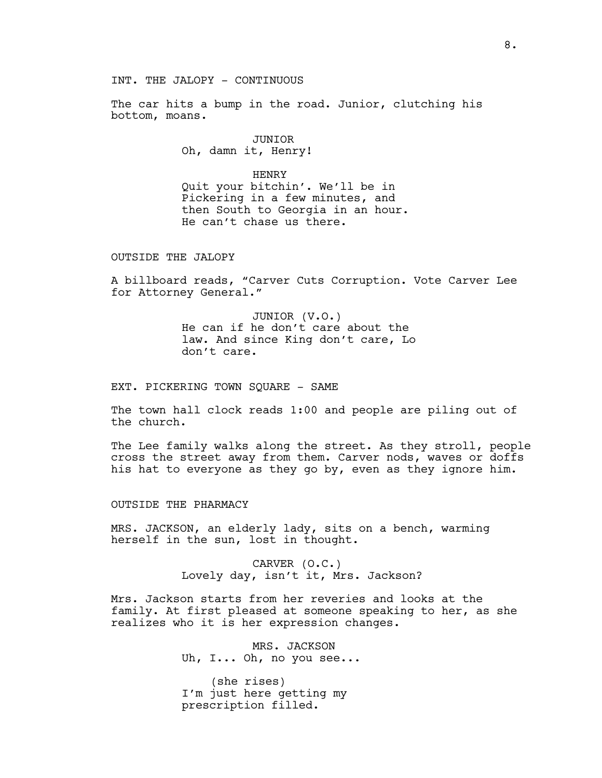The car hits a bump in the road. Junior, clutching his bottom, moans.

> JUNIOR Oh, damn it, Henry!

### HENRY

Quit your bitchin'. We'll be in Pickering in a few minutes, and then South to Georgia in an hour. He can't chase us there.

OUTSIDE THE JALOPY

A billboard reads, "Carver Cuts Corruption. Vote Carver Lee for Attorney General."

> JUNIOR (V.O.) He can if he don't care about the law. And since King don't care, Lo don't care.

EXT. PICKERING TOWN SQUARE - SAME

The town hall clock reads 1:00 and people are piling out of the church.

The Lee family walks along the street. As they stroll, people cross the street away from them. Carver nods, waves or doffs his hat to everyone as they go by, even as they ignore him.

OUTSIDE THE PHARMACY

MRS. JACKSON, an elderly lady, sits on a bench, warming herself in the sun, lost in thought.

> CARVER (O.C.) Lovely day, isn't it, Mrs. Jackson?

Mrs. Jackson starts from her reveries and looks at the family. At first pleased at someone speaking to her, as she realizes who it is her expression changes.

> MRS. JACKSON Uh, I... Oh, no you see...

(she rises) I'm just here getting my prescription filled.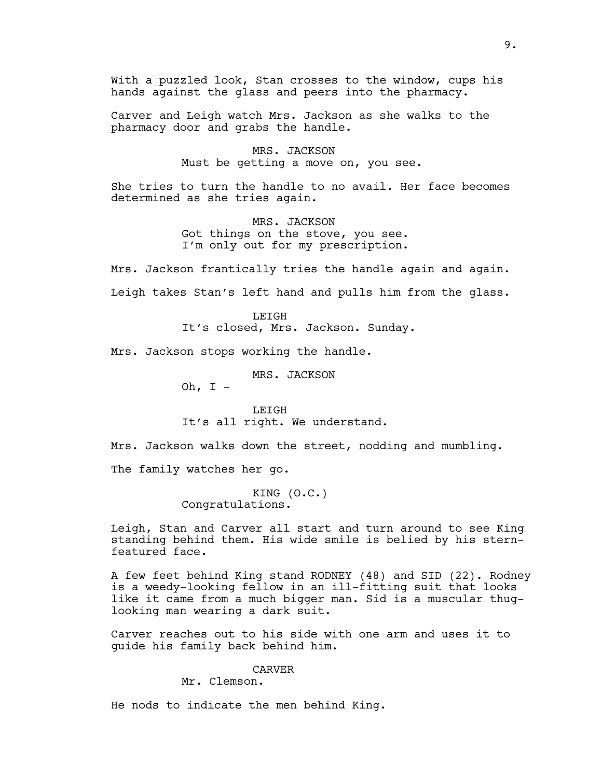With a puzzled look, Stan crosses to the window, cups his hands against the glass and peers into the pharmacy.

Carver and Leigh watch Mrs. Jackson as she walks to the pharmacy door and grabs the handle.

> MRS. JACKSON Must be getting a move on, you see.

She tries to turn the handle to no avail. Her face becomes determined as she tries again.

> MRS. JACKSON Got things on the stove, you see. I'm only out for my prescription.

Mrs. Jackson frantically tries the handle again and again. Leigh takes Stan's left hand and pulls him from the glass.

> **LETGH** It's closed, Mrs. Jackson. Sunday.

Mrs. Jackson stops working the handle.

MRS. JACKSON Oh,  $I -$ 

LEIGH It's all right. We understand.

Mrs. Jackson walks down the street, nodding and mumbling.

The family watches her go.

KING (O.C.) Congratulations.

Leigh, Stan and Carver all start and turn around to see King standing behind them. His wide smile is belied by his sternfeatured face.

A few feet behind King stand RODNEY (48) and SID (22). Rodney is a weedy-looking fellow in an ill-fitting suit that looks like it came from a much bigger man. Sid is a muscular thuglooking man wearing a dark suit.

Carver reaches out to his side with one arm and uses it to guide his family back behind him.

# CARVER

Mr. Clemson.

He nods to indicate the men behind King.